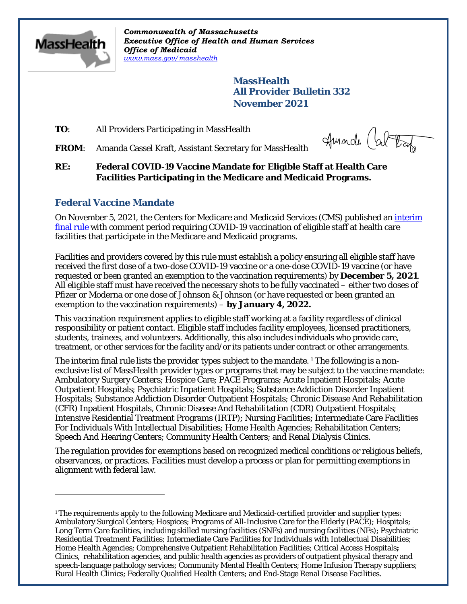

 $\overline{a}$ 

*Commonwealth of Massachusetts Executive Office of Health and Human Services Office of Medicaid [www.mass.gov/masshealth](http://www.mass.gov/masshealth)*

> **MassHealth All Provider Bulletin 332 November 2021**

**TO**: All Providers Participating in MassHealth

FROM: Amanda Cassel Kraft, Assistant Secretary for MassHealth

Amarde (about

**RE: Federal COVID-19 Vaccine Mandate for Eligible Staff at Health Care Facilities Participating in the Medicare and Medicaid Programs.**

## **Federal Vaccine Mandate**

On November 5, 2021, the Centers for Medicare and Medicaid Services (CMS) published an *interim* [final rule](https://www.federalregister.gov/public-inspection/2021-23831/medicare-and-medicaid-programs-omnibus-covid-19-health-care-staff-vaccination) with comment period requiring COVID-19 vaccination of eligible staff at health care facilities that participate in the Medicare and Medicaid programs.

Facilities and providers covered by this rule must establish a policy ensuring all eligible staff have received the first dose of a two-dose COVID-19 vaccine or a one-dose COVID-19 vaccine (or have requested or been granted an exemption to the vaccination requirements) by **December 5, 2021**. All eligible staff must have received the necessary shots to be fully vaccinated – either two doses of Pfizer or Moderna or one dose of Johnson & Johnson (or have requested or been granted an exemption to the vaccination requirements) – **by January 4, 2022.**

This vaccination requirement applies to eligible staff working at a facility regardless of clinical responsibility or patient contact. Eligible staff includes facility employees, licensed practitioners, students, trainees, and volunteers. Additionally, this also includes individuals who provide care, treatment, or other services for the facility and/or its patients under contract or other arrangements.

The interim final rule lists the provider types subject to the mandate.<sup>[1](#page-0-0)</sup> The following is a nonexclusive list of MassHealth provider types or programs that may be subject to the vaccine mandate: Ambulatory Surgery Centers; Hospice Care; PACE Programs; Acute Inpatient Hospitals; Acute Outpatient Hospitals; Psychiatric Inpatient Hospitals; Substance Addiction Disorder Inpatient Hospitals; Substance Addiction Disorder Outpatient Hospitals; Chronic Disease And Rehabilitation (CFR) Inpatient Hospitals, Chronic Disease And Rehabilitation (CDR) Outpatient Hospitals; Intensive Residential Treatment Programs (IRTP); Nursing Facilities; Intermediate Care Facilities For Individuals With Intellectual Disabilities; Home Health Agencies; Rehabilitation Centers; Speech And Hearing Centers; Community Health Centers; and Renal Dialysis Clinics.

The regulation provides for exemptions based on recognized medical conditions or religious beliefs, observances, or practices. Facilities must develop a process or plan for permitting exemptions in alignment with federal law.

<span id="page-0-0"></span><sup>1</sup> The requirements apply to the following Medicare and Medicaid-certified provider and supplier types: Ambulatory Surgical Centers; Hospices; Programs of All-Inclusive Care for the Elderly (PACE); Hospitals; Long Term Care facilities, including skilled nursing facilities (SNFs) and nursing facilities (NFs); Psychiatric Residential Treatment Facilities; Intermediate Care Facilities for Individuals with Intellectual Disabilities; Home Health Agencies; Comprehensive Outpatient Rehabilitation Facilities; Critical Access Hospitals**;**  Clinics, rehabilitation agencies, and public health agencies as providers of outpatient physical therapy and speech-language pathology services; Community Mental Health Centers; Home Infusion Therapy suppliers; Rural Health Clinics; Federally Qualified Health Centers; and End-Stage Renal Disease Facilities.